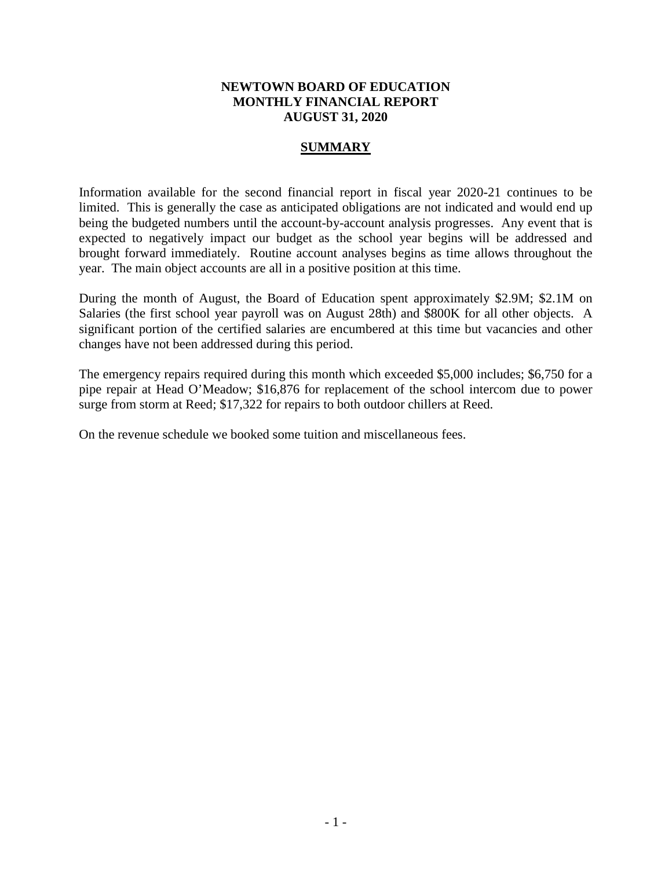### **NEWTOWN BOARD OF EDUCATION MONTHLY FINANCIAL REPORT AUGUST 31, 2020**

### **SUMMARY**

Information available for the second financial report in fiscal year 2020-21 continues to be limited. This is generally the case as anticipated obligations are not indicated and would end up being the budgeted numbers until the account-by-account analysis progresses. Any event that is expected to negatively impact our budget as the school year begins will be addressed and brought forward immediately. Routine account analyses begins as time allows throughout the year. The main object accounts are all in a positive position at this time.

During the month of August, the Board of Education spent approximately \$2.9M; \$2.1M on Salaries (the first school year payroll was on August 28th) and \$800K for all other objects. A significant portion of the certified salaries are encumbered at this time but vacancies and other changes have not been addressed during this period.

The emergency repairs required during this month which exceeded \$5,000 includes; \$6,750 for a pipe repair at Head O'Meadow; \$16,876 for replacement of the school intercom due to power surge from storm at Reed; \$17,322 for repairs to both outdoor chillers at Reed.

On the revenue schedule we booked some tuition and miscellaneous fees.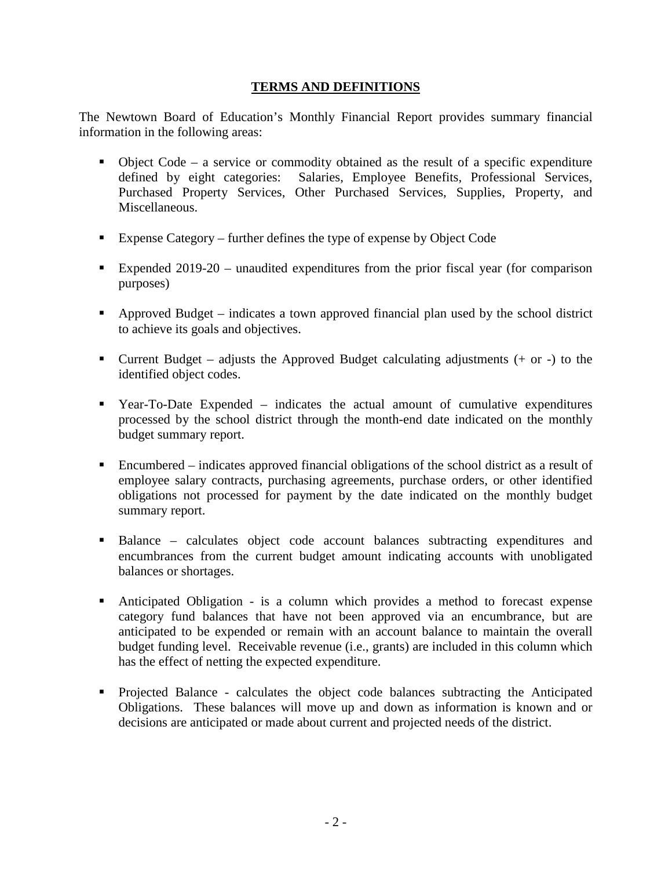### **TERMS AND DEFINITIONS**

The Newtown Board of Education's Monthly Financial Report provides summary financial information in the following areas:

- $\bullet$  Object Code a service or commodity obtained as the result of a specific expenditure defined by eight categories: Salaries, Employee Benefits, Professional Services, Purchased Property Services, Other Purchased Services, Supplies, Property, and Miscellaneous.
- Expense Category further defines the type of expense by Object Code
- Expended 2019-20 unaudited expenditures from the prior fiscal year (for comparison purposes)
- Approved Budget indicates a town approved financial plan used by the school district to achieve its goals and objectives.
- **Current Budget** adjusts the Approved Budget calculating adjustments  $(+)$  or  $-)$  to the identified object codes.
- Year-To-Date Expended indicates the actual amount of cumulative expenditures processed by the school district through the month-end date indicated on the monthly budget summary report.
- Encumbered indicates approved financial obligations of the school district as a result of employee salary contracts, purchasing agreements, purchase orders, or other identified obligations not processed for payment by the date indicated on the monthly budget summary report.
- Balance calculates object code account balances subtracting expenditures and encumbrances from the current budget amount indicating accounts with unobligated balances or shortages.
- Anticipated Obligation is a column which provides a method to forecast expense category fund balances that have not been approved via an encumbrance, but are anticipated to be expended or remain with an account balance to maintain the overall budget funding level. Receivable revenue (i.e., grants) are included in this column which has the effect of netting the expected expenditure.
- Projected Balance calculates the object code balances subtracting the Anticipated Obligations. These balances will move up and down as information is known and or decisions are anticipated or made about current and projected needs of the district.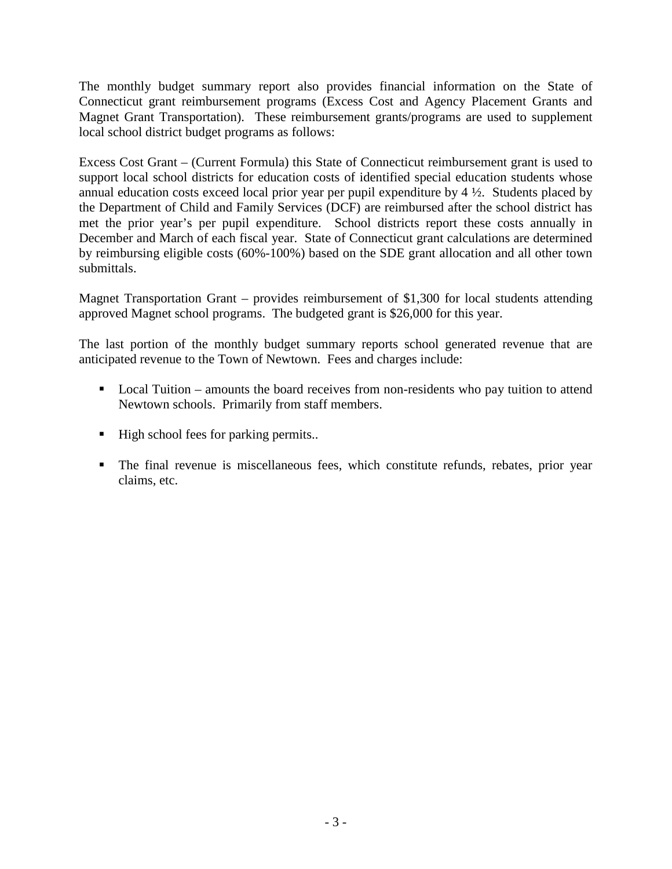The monthly budget summary report also provides financial information on the State of Connecticut grant reimbursement programs (Excess Cost and Agency Placement Grants and Magnet Grant Transportation). These reimbursement grants/programs are used to supplement local school district budget programs as follows:

Excess Cost Grant – (Current Formula) this State of Connecticut reimbursement grant is used to support local school districts for education costs of identified special education students whose annual education costs exceed local prior year per pupil expenditure by 4 ½. Students placed by the Department of Child and Family Services (DCF) are reimbursed after the school district has met the prior year's per pupil expenditure. School districts report these costs annually in December and March of each fiscal year. State of Connecticut grant calculations are determined by reimbursing eligible costs (60%-100%) based on the SDE grant allocation and all other town submittals.

Magnet Transportation Grant – provides reimbursement of \$1,300 for local students attending approved Magnet school programs. The budgeted grant is \$26,000 for this year.

The last portion of the monthly budget summary reports school generated revenue that are anticipated revenue to the Town of Newtown. Fees and charges include:

- Local Tuition amounts the board receives from non-residents who pay tuition to attend Newtown schools. Primarily from staff members.
- High school fees for parking permits..
- The final revenue is miscellaneous fees, which constitute refunds, rebates, prior year claims, etc.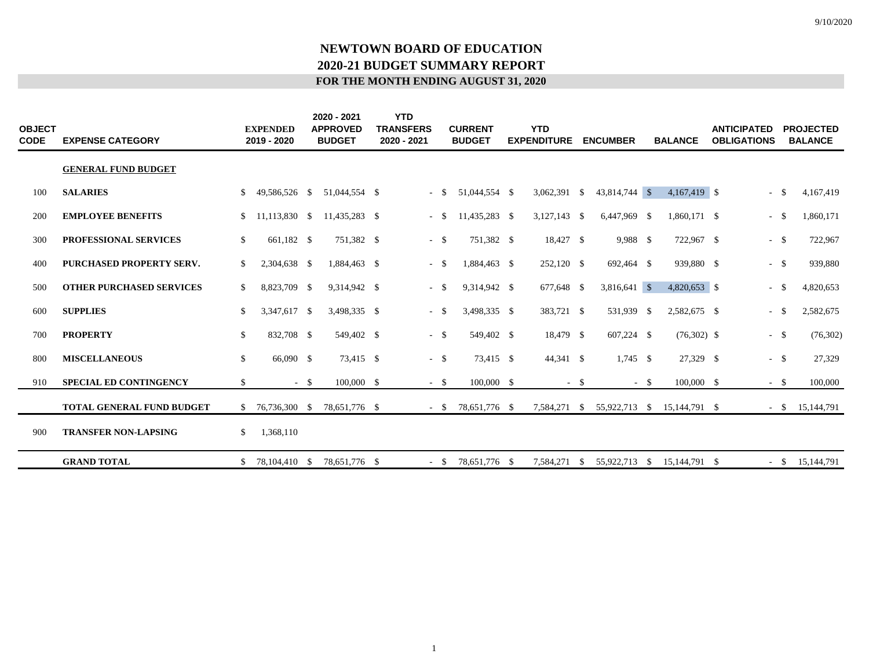| <b>OBJECT</b><br><b>CODE</b> | <b>EXPENSE CATEGORY</b>         |              | <b>EXPENDED</b><br>2019 - 2020 |        | 2020 - 2021<br><b>APPROVED</b><br><b>BUDGET</b> | <b>YTD</b><br><b>TRANSFERS</b><br>2020 - 2021 |        | <b>CURRENT</b><br><b>BUDGET</b> | <b>YTD</b><br><b>EXPENDITURE</b> |       | <b>ENCUMBER</b> |        | <b>BALANCE</b> | <b>ANTICIPATED</b><br><b>OBLIGATIONS</b> | <b>PROJECTED</b><br><b>BALANCE</b> |
|------------------------------|---------------------------------|--------------|--------------------------------|--------|-------------------------------------------------|-----------------------------------------------|--------|---------------------------------|----------------------------------|-------|-----------------|--------|----------------|------------------------------------------|------------------------------------|
|                              | <b>GENERAL FUND BUDGET</b>      |              |                                |        |                                                 |                                               |        |                                 |                                  |       |                 |        |                |                                          |                                    |
| 100                          | <b>SALARIES</b>                 | \$           | 49,586,526 \$                  |        | 51,044,554 \$                                   |                                               | $-$ \$ | 51,044,554 \$                   | 3,062,391 \$                     |       | 43,814,744 \$   |        | 4,167,419 \$   | $-$ \$                                   | 4,167,419                          |
| 200                          | <b>EMPLOYEE BENEFITS</b>        | \$           | 11,113,830 \$                  |        | 11,435,283 \$                                   | $\sim$                                        | -S     | 11,435,283 \$                   | $3,127,143$ \$                   |       | 6,447,969 \$    |        | 1,860,171 \$   | $-$ \$                                   | 1,860,171                          |
| 300                          | PROFESSIONAL SERVICES           | \$           | 661,182 \$                     |        | 751,382 \$                                      |                                               | $-$ \$ | 751,382 \$                      | 18,427 \$                        |       | 9,988 \$        |        | 722,967 \$     | $-$ \$                                   | 722,967                            |
| 400                          | PURCHASED PROPERTY SERV.        | \$           | 2,304,638 \$                   |        | 1,884,463 \$                                    | $\sim$                                        | -S     | 1,884,463 \$                    | 252,120 \$                       |       | 692,464 \$      |        | 939,880 \$     | $-$ \$                                   | 939,880                            |
| 500                          | <b>OTHER PURCHASED SERVICES</b> | \$           | 8,823,709 \$                   |        | 9,314,942 \$                                    | $\sim$                                        | -\$    | 9,314,942 \$                    | 677,648 \$                       |       | 3,816,641 \$    |        | 4,820,653 \$   | $-$ \$                                   | 4,820,653                          |
| 600                          | <b>SUPPLIES</b>                 | \$           | 3,347,617 \$                   |        | 3,498,335 \$                                    | $\sim$                                        | -S     | 3,498,335 \$                    | 383,721 \$                       |       | 531,939 \$      |        | 2,582,675 \$   | $-$ \$                                   | 2,582,675                          |
| 700                          | <b>PROPERTY</b>                 | S.           | 832,708 \$                     |        | 549,402 \$                                      |                                               | $-$ \$ | 549,402 \$                      | 18,479 \$                        |       | 607,224 \$      |        | $(76,302)$ \$  | $-$ \$                                   | (76, 302)                          |
| 800                          | <b>MISCELLANEOUS</b>            | \$           | 66,090 \$                      |        | 73,415 \$                                       |                                               | $-$ \$ | 73,415 \$                       | 44,341 \$                        |       | $1,745$ \$      |        | 27,329 \$      | $-$ \$                                   | 27,329                             |
| 910                          | <b>SPECIAL ED CONTINGENCY</b>   | $\mathbb{S}$ |                                | $-$ \$ | $100,000$ \$                                    |                                               | $-$ \$ | 100,000 \$                      |                                  | $- S$ |                 | $-$ \$ | 100,000 \$     | $-$ \$                                   | 100,000                            |
|                              | TOTAL GENERAL FUND BUDGET       | S.           | 76,736,300 \$                  |        | 78,651,776 \$                                   |                                               | $-$ S  | 78,651,776 \$                   | 7,584,271 \$                     |       | 55,922,713 \$   |        | 15,144,791 \$  | $-$ \$                                   | 15,144,791                         |
| 900                          | <b>TRANSFER NON-LAPSING</b>     | \$           | 1,368,110                      |        |                                                 |                                               |        |                                 |                                  |       |                 |        |                |                                          |                                    |
|                              | <b>GRAND TOTAL</b>              | \$.          | 78,104,410 \$                  |        | 78,651,776 \$                                   |                                               | $-$ \$ | 78,651,776 \$                   | 7,584,271                        | - \$  | 55,922,713 \$   |        | 15,144,791 \$  | $-$ \$                                   | 15,144,791                         |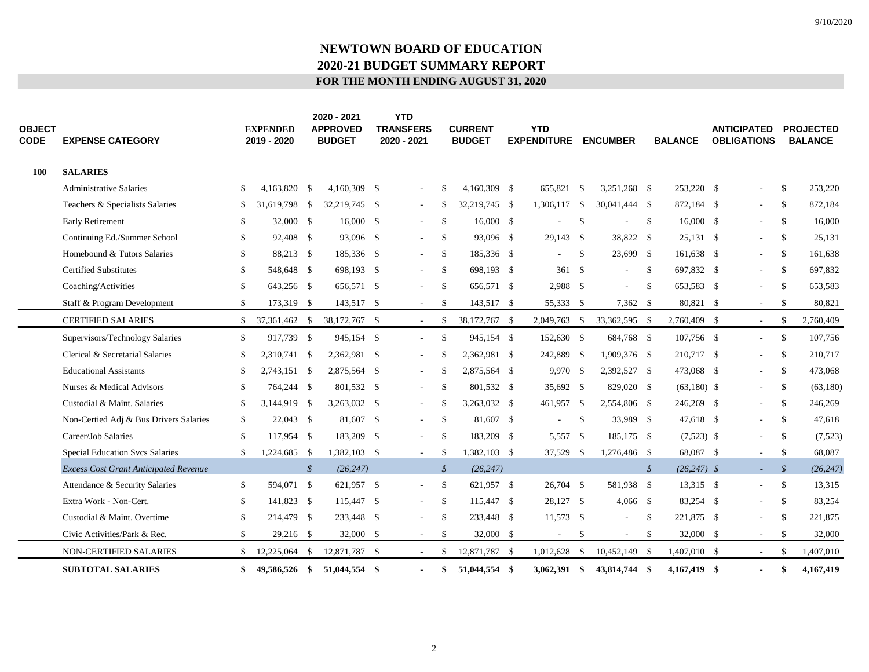# **NEWTOWN BOARD OF EDUCATION 2020-21 BUDGET SUMMARY REPORT FOR THE MONTH ENDING AUGUST 31, 2020**

| <b>OBJECT</b><br>CODE | <b>EXPENSE CATEGORY</b>                      |               | <b>EXPENDED</b><br>2019 - 2020 |                            | 2020 - 2021<br><b>APPROVED</b><br><b>BUDGET</b> | <b>YTD</b><br><b>TRANSFERS</b><br>2020 - 2021 |               | <b>CURRENT</b><br><b>BUDGET</b> | <b>YTD</b><br><b>EXPENDITURE</b> |               | <b>ENCUMBER</b>          |               | <b>BALANCE</b> | <b>ANTICIPATED</b><br><b>OBLIGATIONS</b> |               | <b>PROJECTED</b><br><b>BALANCE</b> |
|-----------------------|----------------------------------------------|---------------|--------------------------------|----------------------------|-------------------------------------------------|-----------------------------------------------|---------------|---------------------------------|----------------------------------|---------------|--------------------------|---------------|----------------|------------------------------------------|---------------|------------------------------------|
| <b>100</b>            | <b>SALARIES</b>                              |               |                                |                            |                                                 |                                               |               |                                 |                                  |               |                          |               |                |                                          |               |                                    |
|                       | Administrative Salaries                      | <sup>\$</sup> | 4.163.820 \$                   |                            | 4,160,309 \$                                    |                                               | <sup>\$</sup> | 4,160,309 \$                    | 655.821 \$                       |               | 3,251,268 \$             |               | 253,220 \$     | ÷,                                       | $\mathbb{S}$  | 253,220                            |
|                       | Teachers & Specialists Salaries              | \$            | 31,619,798 \$                  |                            | 32,219,745 \$                                   | $\overline{\phantom{a}}$                      | -S            | 32,219,745 \$                   | 1,306,117 \$                     |               | 30,041,444 \$            |               | 872,184 \$     | $\overline{\phantom{a}}$                 | -S            | 872,184                            |
|                       | <b>Early Retirement</b>                      | \$            | 32,000 \$                      |                            | $16,000 \quad$ \$                               | $\sim$                                        | $\mathbb{S}$  | $16,000$ \$                     | $\sim$                           | \$            | $\overline{\phantom{a}}$ | $\mathbb{S}$  | $16,000$ \$    | $\sim$                                   | <sup>S</sup>  | 16,000                             |
|                       | Continuing Ed./Summer School                 | \$            | 92,408 \$                      |                            | 93,096 \$                                       | $\blacksquare$                                | <sup>\$</sup> | 93,096 \$                       | 29,143 \$                        |               | 38,822 \$                |               | $25,131$ \$    | $\overline{\phantom{a}}$                 | <sup>S</sup>  | 25,131                             |
|                       | Homebound & Tutors Salaries                  | \$            | 88,213 \$                      |                            | 185,336 \$                                      | $\overline{\phantom{a}}$                      | \$            | 185,336 \$                      |                                  | \$            | 23,699 \$                |               | 161,638 \$     | $\sim$                                   | $\mathbb{S}$  | 161,638                            |
|                       | <b>Certified Substitutes</b>                 | \$            | 548,648 \$                     |                            | 698,193 \$                                      | a.                                            | \$            | 698,193 \$                      | 361S                             |               | $\sim$                   | \$            | 697,832 \$     | $\sim$                                   | <sup>\$</sup> | 697,832                            |
|                       | Coaching/Activities                          | $\mathbb{S}$  | 643,256 \$                     |                            | 656,571 \$                                      | $\overline{\phantom{a}}$                      | \$            | 656,571 \$                      | 2,988 \$                         |               | $\bar{a}$                | $\mathbb{S}$  | 653,583 \$     | $\bar{a}$                                | \$            | 653,583                            |
|                       | Staff & Program Development                  | \$            | 173,319 \$                     |                            | 143,517 \$                                      | $\sim$                                        | \$            | 143,517 \$                      | 55,333 \$                        |               | 7,362 \$                 |               | 80,821 \$      | $\sim$                                   | $\mathbb{S}$  | 80,821                             |
|                       | <b>CERTIFIED SALARIES</b>                    | $\mathbb{S}$  | 37,361,462 \$                  |                            | 38,172,767 \$                                   | $\sim$                                        | <sup>\$</sup> | 38,172,767 \$                   | 2,049,763                        | - \$          | 33,362,595 \$            |               | 2,760,409 \$   | $\sim$                                   | <sup>S</sup>  | 2,760,409                          |
|                       | Supervisors/Technology Salaries              | \$            | 917,739 \$                     |                            | 945,154 \$                                      | $\sim$                                        | $\mathbb{S}$  | 945,154 \$                      | 152,630 \$                       |               | 684,768 \$               |               | 107,756 \$     | $\mathcal{L}$                            | $\mathbb{S}$  | 107,756                            |
|                       | Clerical & Secretarial Salaries              | \$            | 2,310,741 \$                   |                            | 2,362,981 \$                                    | $\sim$                                        | <sup>\$</sup> | 2,362,981 \$                    | 242,889 \$                       |               | 1,909,376 \$             |               | 210,717 \$     | $\bar{a}$                                | <sup>\$</sup> | 210,717                            |
|                       | <b>Educational Assistants</b>                | \$            | 2,743,151 \$                   |                            | 2,875,564 \$                                    | $\sim$                                        | <sup>\$</sup> | 2,875,564 \$                    | 9,970 \$                         |               | 2,392,527 \$             |               | 473,068 \$     | $\sim$                                   | $\mathbb{S}$  | 473,068                            |
|                       | Nurses & Medical Advisors                    | $\mathbb{S}$  | 764,244 \$                     |                            | 801,532 \$                                      | $\overline{\phantom{a}}$                      | $\mathbb{S}$  | 801,532 \$                      | 35,692 \$                        |               | 829,020 \$               |               | $(63,180)$ \$  | $\sim$                                   | $\mathbb{S}$  | (63,180)                           |
|                       | Custodial & Maint, Salaries                  | \$            | 3,144,919 \$                   |                            | 3,263,032 \$                                    | $\overline{\phantom{a}}$                      | <sup>\$</sup> | 3,263,032 \$                    | 461,957 \$                       |               | 2,554,806 \$             |               | 246,269 \$     | $\overline{\phantom{a}}$                 | -S            | 246,269                            |
|                       | Non-Certied Adj & Bus Drivers Salaries       | S.            | 22,043 \$                      |                            | 81,607 \$                                       | $\overline{\phantom{a}}$                      | <sup>\$</sup> | 81,607 \$                       | $\overline{\phantom{a}}$         | \$            | 33,989 \$                |               | 47,618 \$      | $\overline{\phantom{a}}$                 | S.            | 47,618                             |
|                       | Career/Job Salaries                          | \$            | 117,954 \$                     |                            | 183,209 \$                                      | $\blacksquare$                                | <sup>\$</sup> | 183,209 \$                      | 5,557 \$                         |               | 185,175 \$               |               | $(7,523)$ \$   | $\overline{\phantom{a}}$                 | <sup>S</sup>  | (7,523)                            |
|                       | <b>Special Education Svcs Salaries</b>       | \$            | 1,224,685 \$                   |                            | 1,382,103 \$                                    | $\mathcal{L}$                                 | -S            | 1,382,103 \$                    | 37,529 \$                        |               | 1,276,486 \$             |               | 68,087 \$      | $\sim$                                   | <sup>\$</sup> | 68,087                             |
|                       | <b>Excess Cost Grant Anticipated Revenue</b> |               |                                | $\boldsymbol{\mathcal{S}}$ | (26, 247)                                       |                                               | $\mathcal{S}$ | (26, 247)                       |                                  |               |                          | $\mathcal{S}$ | $(26, 247)$ \$ | ÷.                                       | $\mathcal{S}$ | (26, 247)                          |
|                       | Attendance & Security Salaries               | \$            | 594,071 \$                     |                            | 621,957 \$                                      | $\overline{\phantom{a}}$                      | \$            | 621,957 \$                      | 26,704 \$                        |               | 581,938 \$               |               | 13,315 \$      | $\sim$                                   | $\mathbb{S}$  | 13,315                             |
|                       | Extra Work - Non-Cert.                       | \$            | 141,823 \$                     |                            | 115,447 \$                                      | $\sim$                                        | <sup>\$</sup> | 115,447 \$                      | 28,127 \$                        |               | $4,066$ \$               |               | 83,254 \$      | $\sim$                                   | <sup>S</sup>  | 83,254                             |
|                       | Custodial & Maint. Overtime                  | \$            | 214,479 \$                     |                            | 233,448 \$                                      | $\overline{\phantom{a}}$                      | \$            | 233,448 \$                      | 11,573 \$                        |               | $\sim$                   | $\mathbb{S}$  | 221,875 \$     | ÷,                                       | \$            | 221,875                            |
|                       | Civic Activities/Park & Rec.                 | $\mathbb{S}$  | 29,216 \$                      |                            | 32,000 \$                                       | $\sim$                                        | $\mathbb{S}$  | 32,000 \$                       | $\sim$                           | \$            | $\sim$                   | \$            | 32,000 \$      | $\sim$                                   | <sup>\$</sup> | 32,000                             |
|                       | <b>NON-CERTIFIED SALARIES</b>                | \$            | 12,225,064                     | -\$                        | 12,871,787 \$                                   | $\sim$                                        | S.            | 12,871,787 \$                   | 1,012,628                        | $\mathcal{S}$ | 10,452,149 \$            |               | 1,407,010 \$   | $\sim$                                   | -S            | 1,407,010                          |
|                       | <b>SUBTOTAL SALARIES</b>                     | \$            | 49,586,526 \$                  |                            | 51,044,554 \$                                   |                                               | \$            | 51,044,554 \$                   | $3,062,391$ \$                   |               | 43,814,744 \$            |               | 4,167,419 \$   | $\blacksquare$                           | \$            | 4,167,419                          |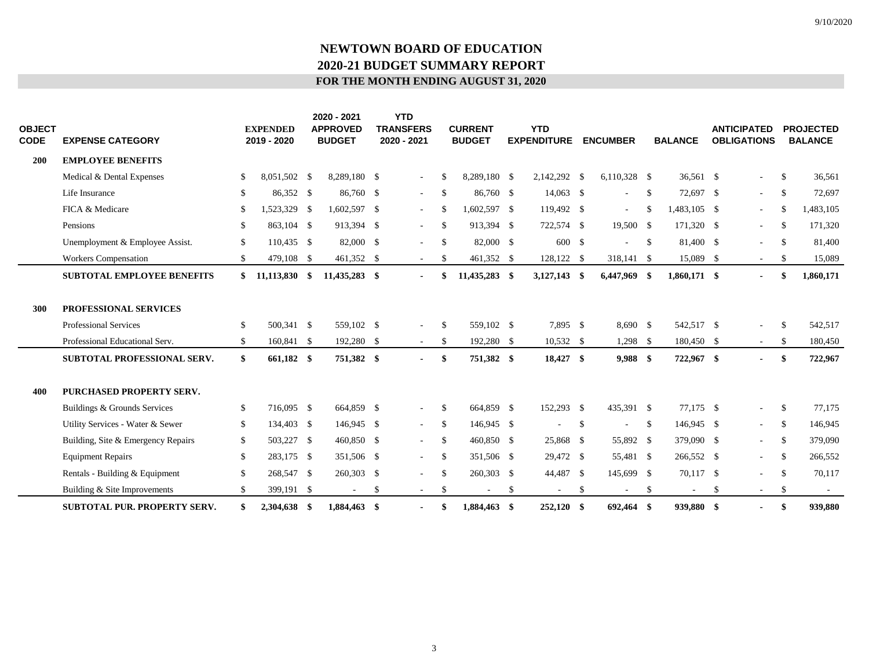# **NEWTOWN BOARD OF EDUCATION 2020-21 BUDGET SUMMARY REPORT FOR THE MONTH ENDING AUGUST 31, 2020**

| <b>OBJECT</b><br><b>CODE</b> | <b>EXPENSE CATEGORY</b>                                                                        |                              | <b>EXPENDED</b><br>2019 - 2020 | 2020 - 2021<br><b>APPROVED</b><br><b>BUDGET</b> | <b>YTD</b><br><b>TRANSFERS</b><br>2020 - 2021 |                     | <b>CURRENT</b><br><b>BUDGET</b> |              | <b>YTD</b><br><b>EXPENDITURE</b> |               | <b>ENCUMBER</b>       |              | <b>BALANCE</b>           |    | <b>ANTICIPATED</b><br><b>OBLIGATIONS</b> |                                | <b>PROJECTED</b><br><b>BALANCE</b> |
|------------------------------|------------------------------------------------------------------------------------------------|------------------------------|--------------------------------|-------------------------------------------------|-----------------------------------------------|---------------------|---------------------------------|--------------|----------------------------------|---------------|-----------------------|--------------|--------------------------|----|------------------------------------------|--------------------------------|------------------------------------|
| 200                          | <b>EMPLOYEE BENEFITS</b>                                                                       |                              |                                |                                                 |                                               |                     |                                 |              |                                  |               |                       |              |                          |    |                                          |                                |                                    |
|                              | Medical & Dental Expenses                                                                      | \$                           | 8,051,502 \$                   | 8,289,180 \$                                    | $\overline{\phantom{a}}$                      | <sup>\$</sup>       | 8,289,180 \$                    |              | 2,142,292 \$                     |               | $6,110,328$ \$        |              | 36,561 \$                |    | $\overline{\phantom{a}}$                 | $\mathbb{S}$                   | 36,561                             |
|                              | Life Insurance                                                                                 | \$                           | 86,352 \$                      | 86,760 \$                                       | $\sim$                                        | \$                  | 86,760 \$                       |              | 14,063 \$                        |               | ÷.                    | $\mathbb{S}$ | 72,697 \$                |    | $\sim$                                   | $\mathbb{S}$                   | 72,697                             |
|                              | FICA & Medicare                                                                                | \$.                          | 1,523,329 \$                   | 1,602,597 \$                                    | $\overline{\phantom{a}}$                      | \$                  | 1,602,597 \$                    |              | 119,492 \$                       |               | $\sim$                | $\mathbb{S}$ | 1,483,105 \$             |    | $\sim$                                   | $\mathbb{S}$                   | 1,483,105                          |
|                              | Pensions                                                                                       | \$                           | 863.104 \$                     | 913,394 \$                                      | $\overline{\phantom{a}}$                      | <sup>\$</sup>       | 913.394 \$                      |              | 722,574 \$                       |               | 19,500 \$             |              | 171,320 \$               |    | $\sim$                                   | $\mathcal{S}$                  | 171,320                            |
|                              | Unemployment & Employee Assist.                                                                | $\mathbb{S}$                 | 110,435 \$                     | 82,000 \$                                       | $\sim$                                        | <sup>\$</sup>       | 82,000 \$                       |              | 600 \$                           |               |                       | \$           | 81,400 \$                |    | $\equiv$                                 | <sup>\$</sup>                  | 81,400                             |
|                              | Workers Compensation                                                                           | \$                           | 479,108 \$                     | 461,352 \$                                      | $\sim$                                        | <sup>\$</sup>       | 461,352 \$                      |              | 128,122 \$                       |               | 318,141 \$            |              | 15,089 \$                |    | $\sim$                                   | $\mathbb{S}$                   | 15,089                             |
|                              | <b>SUBTOTAL EMPLOYEE BENEFITS</b>                                                              | S.                           | 11,113,830 \$                  | 11,435,283 \$                                   | $\overline{\phantom{a}}$                      | \$                  | 11,435,283 \$                   |              | 3,127,143 \$                     |               | 6,447,969 \$          |              | 1,860,171 \$             |    | $\blacksquare$                           | \$                             | 1,860,171                          |
| 300                          | <b>PROFESSIONAL SERVICES</b><br><b>Professional Services</b><br>Professional Educational Serv. | $\mathbb{S}$<br>$\mathbb{S}$ | 500.341 \$<br>160,841 \$       | 559,102 \$<br>192,280 \$                        | $\sim$<br>$\overline{\phantom{a}}$            | <sup>\$</sup><br>\$ | 559,102 \$<br>192,280 \$        |              | 7.895 \$<br>$10,532$ \$          |               | 8.690 S<br>$1,298$ \$ |              | 542,517 \$<br>180,450 \$ |    | $\sim$<br>$\sim$                         | $\mathcal{S}$<br><sup>\$</sup> | 542,517<br>180,450                 |
|                              | SUBTOTAL PROFESSIONAL SERV.                                                                    | \$                           | 661,182 \$                     | 751,382 \$                                      | $\blacksquare$                                | \$                  | 751,382 \$                      |              | 18,427 \$                        |               | 9,988 \$              |              | 722,967 \$               |    | $\overline{\phantom{0}}$                 | \$                             | 722,967                            |
| 400                          | <b>PURCHASED PROPERTY SERV.</b>                                                                |                              |                                |                                                 |                                               |                     |                                 |              |                                  |               |                       |              |                          |    |                                          |                                |                                    |
|                              | Buildings & Grounds Services                                                                   | \$                           | 716,095 \$                     | 664,859 \$                                      | $\sim$                                        | \$                  | 664,859 \$                      |              | 152,293 \$                       |               | 435,391 \$            |              | 77,175 \$                |    | $\equiv$                                 | $\mathbb{S}$                   | 77,175                             |
|                              | Utility Services - Water & Sewer                                                               | \$                           | 134,403 \$                     | 146,945 \$                                      | $\sim$                                        | $\mathbb{S}$        | 146,945 \$                      |              | $\overline{\phantom{a}}$         | <sup>\$</sup> | $\sim$                | $\mathbb{S}$ | 146,945 \$               |    | $\sim$                                   | $\mathbb{S}$                   | 146,945                            |
|                              | Building, Site & Emergency Repairs                                                             | \$                           | 503,227 \$                     | 460,850 \$                                      | $\mathbf{r}$                                  | \$                  | 460,850 \$                      |              | 25,868 \$                        |               | 55,892 \$             |              | 379,090 \$               |    | $\sim$                                   | $\mathbb{S}$                   | 379,090                            |
|                              | <b>Equipment Repairs</b>                                                                       | \$                           | 283,175 \$                     | 351,506 \$                                      | $\overline{\phantom{a}}$                      | \$                  | 351,506 \$                      |              | 29,472 \$                        |               | 55,481 \$             |              | 266,552 \$               |    | $\sim$                                   | $\mathbb{S}$                   | 266,552                            |
|                              | Rentals - Building & Equipment                                                                 | \$                           | 268,547 \$                     | 260,303 \$                                      | ÷.                                            | \$                  | 260,303 \$                      |              | 44,487 \$                        |               | 145,699 \$            |              | 70,117 \$                |    | $\overline{\phantom{a}}$                 | \$                             | 70,117                             |
|                              | Building & Site Improvements                                                                   | \$                           | 399,191 \$                     | $\sim$                                          | \$<br>$\overline{\phantom{a}}$                | \$                  |                                 | $\mathbb{S}$ | ÷.                               | \$            |                       | $\mathbb{S}$ |                          | -S | $\sim$                                   | $\mathbb{S}$                   | $\sim$                             |
|                              | <b>SUBTOTAL PUR. PROPERTY SERV.</b>                                                            | \$                           | 2,304,638 \$                   | 1,884,463 \$                                    |                                               | \$                  | 1,884,463 \$                    |              | $252,120$ \$                     |               | 692,464 \$            |              | 939,880 \$               |    | $\blacksquare$                           | \$                             | 939,880                            |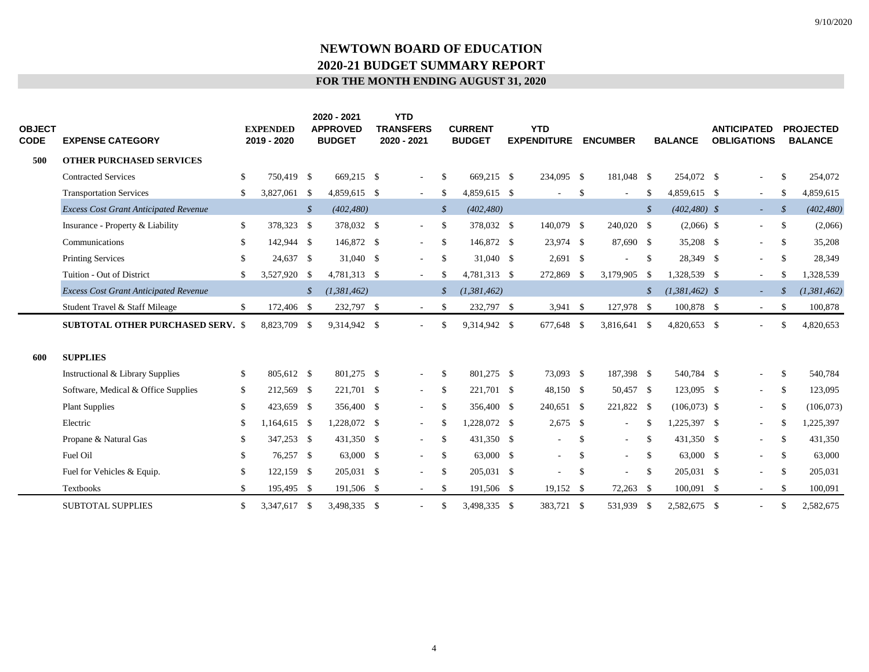# **NEWTOWN BOARD OF EDUCATION 2020-21 BUDGET SUMMARY REPORT FOR THE MONTH ENDING AUGUST 31, 2020**

| OBJECT<br><b>CODE</b> | <b>EXPENSE CATEGORY</b>                      |    | <b>EXPENDED</b><br>2019 - 2020 |               | 2020 - 2021<br><b>APPROVED</b><br><b>BUDGET</b> | <b>YTD</b><br><b>TRANSFERS</b><br>2020 - 2021 |               | <b>CURRENT</b><br><b>BUDGET</b> | <b>YTD</b><br><b>EXPENDITURE</b> |              | <b>ENCUMBER</b>          |               | <b>BALANCE</b>   | <b>ANTICIPATED</b><br><b>OBLIGATIONS</b> |                   | <b>PROJECTED</b><br><b>BALANCE</b> |
|-----------------------|----------------------------------------------|----|--------------------------------|---------------|-------------------------------------------------|-----------------------------------------------|---------------|---------------------------------|----------------------------------|--------------|--------------------------|---------------|------------------|------------------------------------------|-------------------|------------------------------------|
| 500                   | <b>OTHER PURCHASED SERVICES</b>              |    |                                |               |                                                 |                                               |               |                                 |                                  |              |                          |               |                  |                                          |                   |                                    |
|                       | <b>Contracted Services</b>                   | \$ | 750,419 \$                     |               | 669,215 \$                                      | $\overline{\phantom{a}}$                      | \$            | 669,215 \$                      | 234,095 \$                       |              | 181,048 \$               |               | 254,072 \$       | $\overline{\phantom{a}}$                 | \$                | 254,072                            |
|                       | <b>Transportation Services</b>               | \$ | 3,827,061 \$                   |               | 4,859,615 \$                                    | $\sim$                                        | \$            | 4,859,615 \$                    |                                  | \$           | ÷.                       | \$            | 4,859,615 \$     | $\sim$                                   | $\mathbb{S}$      | 4,859,615                          |
|                       | <b>Excess Cost Grant Anticipated Revenue</b> |    |                                | \$            | (402, 480)                                      |                                               | $\mathcal{S}$ | (402, 480)                      |                                  |              |                          | $\mathcal{S}$ | $(402, 480)$ \$  | $\overline{\phantom{a}}$                 | $\mathcal{S}_{0}$ | (402, 480)                         |
|                       | Insurance - Property & Liability             | \$ | 378,323 \$                     |               | 378,032 \$                                      | $\blacksquare$                                | <sup>\$</sup> | 378,032 \$                      | 140,079 \$                       |              | 240,020 \$               |               | $(2,066)$ \$     | $\overline{\phantom{a}}$                 | $\mathbb{S}$      | (2,066)                            |
|                       | Communications                               | S. | 142,944 \$                     |               | 146,872 \$                                      | $\overline{\phantom{a}}$                      | $\mathbb{S}$  | 146,872 \$                      | 23,974 \$                        |              | 87,690 \$                |               | 35,208 \$        | $\overline{\phantom{a}}$                 | -S                | 35,208                             |
|                       | <b>Printing Services</b>                     | \$ | 24,637 \$                      |               | 31,040 \$                                       | $\blacksquare$                                | \$            | 31,040 \$                       | $2,691$ \$                       |              |                          | <sup>\$</sup> | 28,349 \$        | $\overline{\phantom{a}}$                 | <sup>\$</sup>     | 28,349                             |
|                       | Tuition - Out of District                    | \$ | 3,527,920 \$                   |               | 4,781,313 \$                                    | $\sim$                                        | \$            | 4,781,313 \$                    | 272,869                          | - \$         | 3,179,905                | -S            | 1,328,539 \$     | $\sim$                                   | \$                | 1,328,539                          |
|                       | <b>Excess Cost Grant Anticipated Revenue</b> |    |                                | $\mathcal{S}$ | (1,381,462)                                     |                                               | \$            | (1,381,462)                     |                                  |              |                          | $\mathcal{S}$ | $(1,381,462)$ \$ | $\sim$                                   |                   | (1, 381, 462)                      |
|                       | Student Travel & Staff Mileage               | \$ | 172,406 \$                     |               | 232,797 \$                                      | $\sim$                                        | \$            | 232,797 \$                      | $3,941$ \$                       |              | 127,978 \$               |               | 100,878 \$       | $\sim$                                   | \$                | 100,878                            |
|                       | <b>SUBTOTAL OTHER PURCHASED SERV. \$</b>     |    | 8,823,709                      | - \$          | 9,314,942 \$                                    |                                               | \$            | 9,314,942 \$                    | 677,648                          | - \$         | 3,816,641                | $\mathbb{S}$  | 4,820,653 \$     |                                          | \$.               | 4,820,653                          |
| 600                   | <b>SUPPLIES</b>                              |    |                                |               |                                                 |                                               |               |                                 |                                  |              |                          |               |                  |                                          |                   |                                    |
|                       | Instructional & Library Supplies             | \$ | 805,612 \$                     |               | 801,275 \$                                      | $\overline{\phantom{a}}$                      | \$            | 801.275 \$                      | 73,093 \$                        |              | 187,398 \$               |               | 540,784 \$       | $\overline{\phantom{a}}$                 | <sup>\$</sup>     | 540,784                            |
|                       | Software, Medical & Office Supplies          | \$ | 212,569 \$                     |               | 221,701 \$                                      | $\overline{\phantom{a}}$                      | \$            | 221,701 \$                      | 48,150 \$                        |              | 50,457 \$                |               | 123,095 \$       | $\overline{\phantom{a}}$                 | -S                | 123,095                            |
|                       | <b>Plant Supplies</b>                        | \$ | 423,659 \$                     |               | 356,400 \$                                      | $\blacksquare$                                | <sup>\$</sup> | 356,400 \$                      | 240,651 \$                       |              | 221,822 \$               |               | $(106,073)$ \$   | $\overline{\phantom{a}}$                 | <sup>\$</sup>     | (106, 073)                         |
|                       | Electric                                     | \$ | 1,164,615 \$                   |               | 1,228,072 \$                                    | $\sim$                                        | \$            | 1,228,072 \$                    | $2,675$ \$                       |              | $\sim$                   | \$            | 1,225,397 \$     | $\sim$                                   | \$                | 1,225,397                          |
|                       | Propane & Natural Gas                        | \$ | 347,253 \$                     |               | 431,350 \$                                      | $\blacksquare$                                | \$            | 431,350 \$                      | $\sim$                           | \$           | $\sim$                   | \$            | 431,350 \$       | $\sim$                                   | <sup>\$</sup>     | 431,350                            |
|                       | Fuel Oil                                     | \$ | 76,257 \$                      |               | 63,000 \$                                       | $\blacksquare$                                | \$            | 63,000 \$                       | $\sim$                           | $\mathbb{S}$ | $\sim$                   | \$            | 63,000 \$        | $\overline{\phantom{a}}$                 | $\mathbb{S}$      | 63,000                             |
|                       | Fuel for Vehicles & Equip.                   | \$ | 122,159 \$                     |               | 205,031 \$                                      | $\blacksquare$                                | \$            | 205,031 \$                      |                                  | \$           | $\overline{\phantom{a}}$ | $\mathbb{S}$  | 205,031 \$       | $\overline{\phantom{a}}$                 | <sup>\$</sup>     | 205,031                            |
|                       | Textbooks                                    | S. | 195,495 \$                     |               | 191,506 \$                                      | $\sim$                                        | S             | 191,506 \$                      | 19,152 \$                        |              | 72,263                   | - \$          | 100,091 \$       | $\sim$                                   | <sup>\$</sup>     | 100,091                            |
|                       | <b>SUBTOTAL SUPPLIES</b>                     | \$ | 3,347,617 \$                   |               | 3,498,335 \$                                    |                                               | \$            | 3,498,335 \$                    | 383,721 \$                       |              | 531,939                  | <sup>\$</sup> | 2,582,675 \$     | $\sim$                                   | \$                | 2,582,675                          |